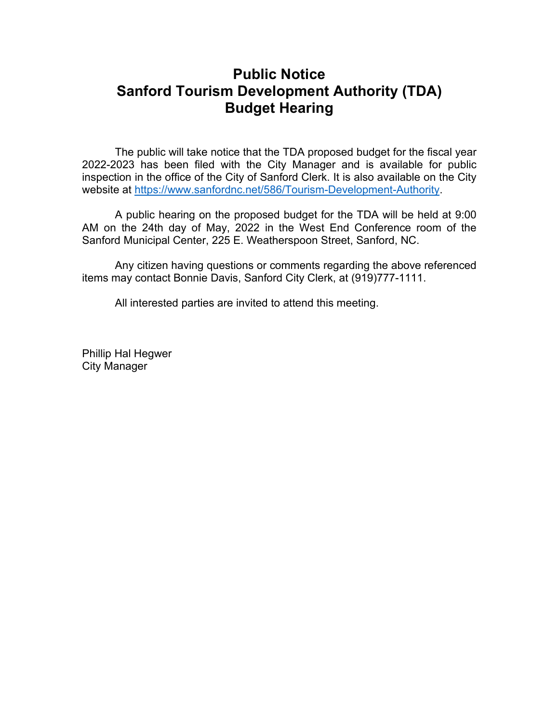## **Public Notice Sanford Tourism Development Authority (TDA) Budget Hearing**

The public will take notice that the TDA proposed budget for the fiscal year 2022-2023 has been filed with the City Manager and is available for public inspection in the office of the City of Sanford Clerk. It is also available on the City website at [https://www.sanfordnc.net/586/Tourism-Development-Authority.](https://www.sanfordnc.net/586/Tourism-Development-Authority)

A public hearing on the proposed budget for the TDA will be held at 9:00 AM on the 24th day of May, 2022 in the West End Conference room of the Sanford Municipal Center, 225 E. Weatherspoon Street, Sanford, NC.

Any citizen having questions or comments regarding the above referenced items may contact Bonnie Davis, Sanford City Clerk, at (919)777-1111.

All interested parties are invited to attend this meeting.

Phillip Hal Hegwer City Manager